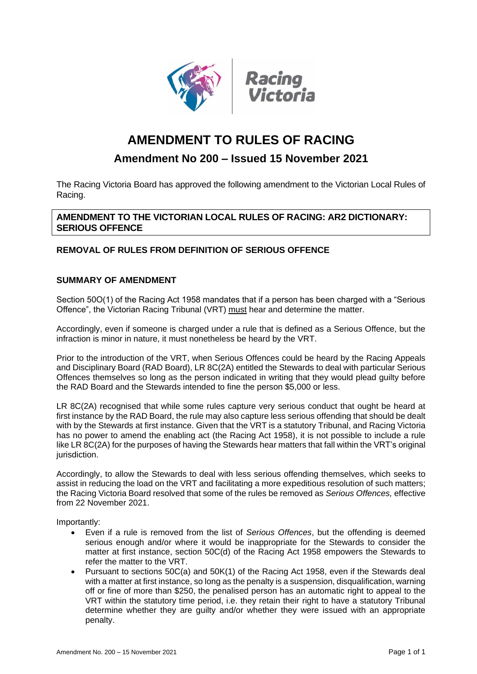



# **AMENDMENT TO RULES OF RACING**

# **Amendment No 200 – Issued 15 November 2021**

The Racing Victoria Board has approved the following amendment to the Victorian Local Rules of Racing.

**AMENDMENT TO THE VICTORIAN LOCAL RULES OF RACING: AR2 DICTIONARY: SERIOUS OFFENCE**

# **REMOVAL OF RULES FROM DEFINITION OF SERIOUS OFFENCE**

# **SUMMARY OF AMENDMENT**

Section 50O(1) of the Racing Act 1958 mandates that if a person has been charged with a "Serious Offence", the Victorian Racing Tribunal (VRT) must hear and determine the matter.

Accordingly, even if someone is charged under a rule that is defined as a Serious Offence, but the infraction is minor in nature, it must nonetheless be heard by the VRT.

Prior to the introduction of the VRT, when Serious Offences could be heard by the Racing Appeals and Disciplinary Board (RAD Board), LR 8C(2A) entitled the Stewards to deal with particular Serious Offences themselves so long as the person indicated in writing that they would plead guilty before the RAD Board and the Stewards intended to fine the person \$5,000 or less.

LR 8C(2A) recognised that while some rules capture very serious conduct that ought be heard at first instance by the RAD Board, the rule may also capture less serious offending that should be dealt with by the Stewards at first instance. Given that the VRT is a statutory Tribunal, and Racing Victoria has no power to amend the enabling act (the Racing Act 1958), it is not possible to include a rule like LR 8C(2A) for the purposes of having the Stewards hear matters that fall within the VRT's original jurisdiction.

Accordingly, to allow the Stewards to deal with less serious offending themselves, which seeks to assist in reducing the load on the VRT and facilitating a more expeditious resolution of such matters; the Racing Victoria Board resolved that some of the rules be removed as *Serious Offences,* effective from 22 November 2021.

Importantly:

- Even if a rule is removed from the list of *Serious Offences*, but the offending is deemed serious enough and/or where it would be inappropriate for the Stewards to consider the matter at first instance, section 50C(d) of the Racing Act 1958 empowers the Stewards to refer the matter to the VRT.
- Pursuant to sections 50C(a) and 50K(1) of the Racing Act 1958, even if the Stewards deal with a matter at first instance, so long as the penalty is a suspension, disqualification, warning off or fine of more than \$250, the penalised person has an automatic right to appeal to the VRT within the statutory time period, i.e. they retain their right to have a statutory Tribunal determine whether they are guilty and/or whether they were issued with an appropriate penalty.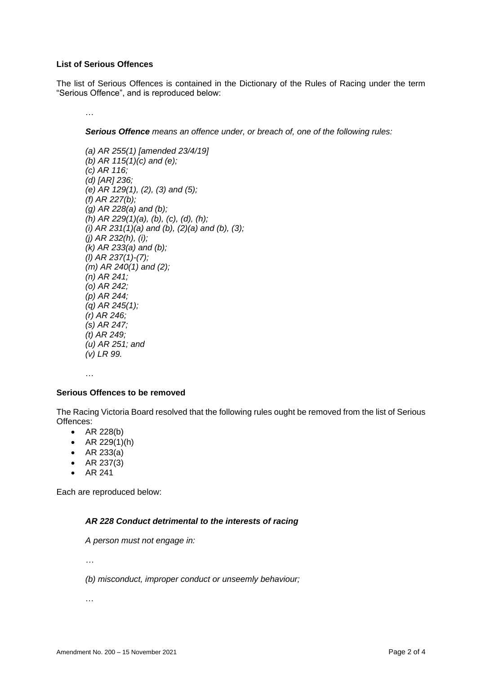#### **List of Serious Offences**

The list of Serious Offences is contained in the Dictionary of the Rules of Racing under the term "Serious Offence", and is reproduced below:

…

*Serious Offence means an offence under, or breach of, one of the following rules:* 

*(a) AR 255(1) [amended 23/4/19] (b) AR 115(1)(c) and (e); (c) AR 116; (d) [AR] 236; (e) AR 129(1), (2), (3) and (5); (f) AR 227(b); (g) AR 228(a) and (b); (h) AR 229(1)(a), (b), (c), (d), (h); (i) AR 231(1)(a) and (b), (2)(a) and (b), (3); (j) AR 232(h), (i); (k) AR 233(a) and (b); (l) AR 237(1)-(7); (m) AR 240(1) and (2); (n) AR 241; (o) AR 242; (p) AR 244; (q) AR 245(1); (r) AR 246; (s) AR 247; (t) AR 249; (u) AR 251; and (v) LR 99.*

…

#### **Serious Offences to be removed**

The Racing Victoria Board resolved that the following rules ought be removed from the list of Serious Offences:

- AR 228(b)
- AR  $229(1)(h)$
- AR 233(a)
- AR 237(3)
- AR 241

Each are reproduced below:

#### *AR 228 Conduct detrimental to the interests of racing*

*A person must not engage in:* 

*…*

*(b) misconduct, improper conduct or unseemly behaviour;*

…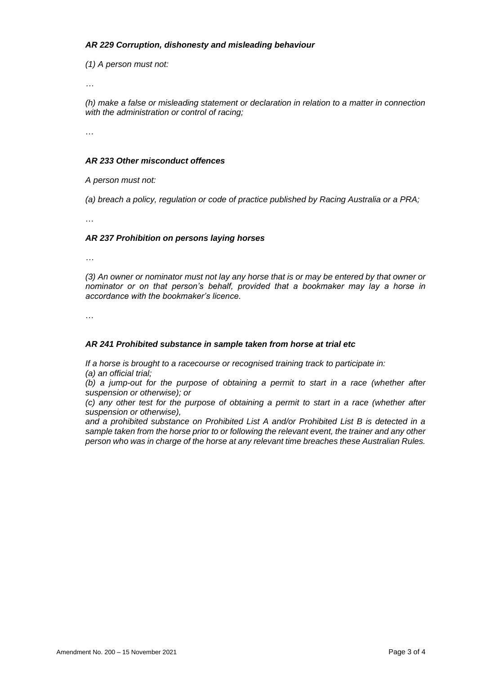### *AR 229 Corruption, dishonesty and misleading behaviour*

*(1) A person must not:*

*…*

*(h) make a false or misleading statement or declaration in relation to a matter in connection with the administration or control of racing;*

…

### *AR 233 Other misconduct offences*

*A person must not:* 

*(a) breach a policy, regulation or code of practice published by Racing Australia or a PRA;*

…

### *AR 237 Prohibition on persons laying horses*

*…*

*(3) An owner or nominator must not lay any horse that is or may be entered by that owner or nominator or on that person's behalf, provided that a bookmaker may lay a horse in accordance with the bookmaker's licence.* 

…

#### *AR 241 Prohibited substance in sample taken from horse at trial etc*

*If a horse is brought to a racecourse or recognised training track to participate in: (a) an official trial;* 

*(b) a jump-out for the purpose of obtaining a permit to start in a race (whether after suspension or otherwise); or* 

*(c) any other test for the purpose of obtaining a permit to start in a race (whether after suspension or otherwise),* 

*and a prohibited substance on Prohibited List A and/or Prohibited List B is detected in a sample taken from the horse prior to or following the relevant event, the trainer and any other person who was in charge of the horse at any relevant time breaches these Australian Rules.*